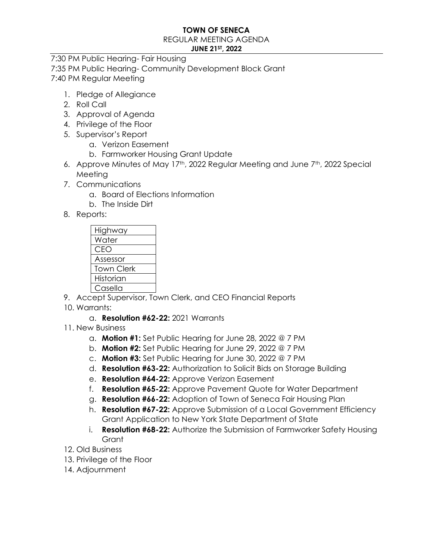## **TOWN OF SENECA**

#### REGULAR MEETING AGENDA

## **JUNE 21ST, 2022**

7:30 PM Public Hearing- Fair Housing 7:35 PM Public Hearing- Community Development Block Grant 7:40 PM Regular Meeting

- 1. Pledge of Allegiance
- 2. Roll Call
- 3. Approval of Agenda
- 4. Privilege of the Floor
- 5. Supervisor's Report
	- a. Verizon Easement
	- b. Farmworker Housing Grant Update
- 6. Approve Minutes of May 17<sup>th</sup>, 2022 Regular Meeting and June 7<sup>th</sup>, 2022 Special Meeting
- 7. Communications
	- a. Board of Elections Information
	- b. The Inside Dirt
- 8. Reports:

| Highway           |
|-------------------|
| Water             |
| CEO               |
| Assessor          |
| <b>Town Clerk</b> |
| Historian         |
| Casella           |

- 9. Accept Supervisor, Town Clerk, and CEO Financial Reports
- 10. Warrants:
	- a. **Resolution #62-22:** 2021 Warrants
- 11. New Business
	- a. **Motion #1:** Set Public Hearing for June 28, 2022 @ 7 PM
	- b. **Motion #2:** Set Public Hearing for June 29, 2022 @ 7 PM
	- c. **Motion #3:** Set Public Hearing for June 30, 2022 @ 7 PM
	- d. **Resolution #63-22:** Authorization to Solicit Bids on Storage Building
	- e. **Resolution #64-22:** Approve Verizon Easement
	- f. **Resolution #65-22:** Approve Pavement Quote for Water Department
	- g. **Resolution #66-22:** Adoption of Town of Seneca Fair Housing Plan
	- h. **Resolution #67-22:** Approve Submission of a Local Government Efficiency Grant Application to New York State Department of State
	- i. **Resolution #68-22:** Authorize the Submission of Farmworker Safety Housing **Grant**
- 12. Old Business
- 13. Privilege of the Floor
- 14. Adjournment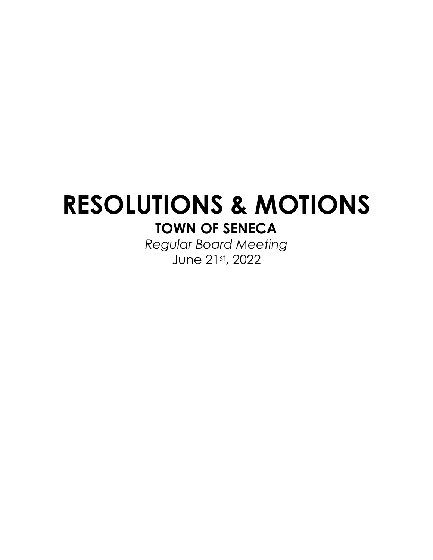# **RESOLUTIONS & MOTIONS TOWN OF SENECA**

*Regular Board Meeting* June 21st, 2022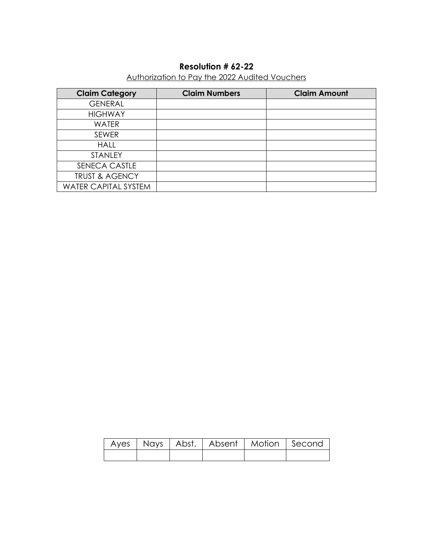# **Resolution # 62-22**

# Authorization to Pay the 2022 Audited Vouchers

| <b>Claim Category</b>       | <b>Claim Numbers</b> | <b>Claim Amount</b> |
|-----------------------------|----------------------|---------------------|
| <b>GENERAL</b>              |                      |                     |
| <b>HIGHWAY</b>              |                      |                     |
| <b>WATER</b>                |                      |                     |
| <b>SEWER</b>                |                      |                     |
| <b>HALL</b>                 |                      |                     |
| STANLEY                     |                      |                     |
| SENECA CASTLE               |                      |                     |
| <b>TRUST &amp; AGENCY</b>   |                      |                     |
| <b>WATER CAPITAL SYSTEM</b> |                      |                     |

|  |  | Ayes   Nays   Abst.   Absent   Motion   Second |  |
|--|--|------------------------------------------------|--|
|  |  |                                                |  |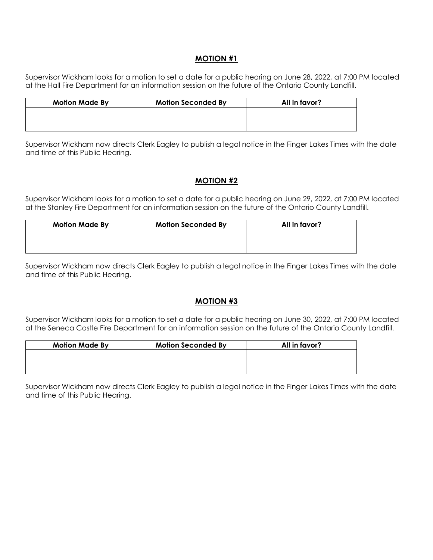#### **MOTION #1**

Supervisor Wickham looks for a motion to set a date for a public hearing on June 28, 2022, at 7:00 PM located at the Hall Fire Department for an information session on the future of the Ontario County Landfill.

| <b>Motion Made By</b> | <b>Motion Seconded By</b> | All in favor? |
|-----------------------|---------------------------|---------------|
|                       |                           |               |
|                       |                           |               |
|                       |                           |               |

Supervisor Wickham now directs Clerk Eagley to publish a legal notice in the Finger Lakes Times with the date and time of this Public Hearing.

## **MOTION #2**

Supervisor Wickham looks for a motion to set a date for a public hearing on June 29, 2022, at 7:00 PM located at the Stanley Fire Department for an information session on the future of the Ontario County Landfill.

| <b>Motion Made By</b> | <b>Motion Seconded By</b> | All in favor? |
|-----------------------|---------------------------|---------------|
|                       |                           |               |
|                       |                           |               |
|                       |                           |               |

Supervisor Wickham now directs Clerk Eagley to publish a legal notice in the Finger Lakes Times with the date and time of this Public Hearing.

## **MOTION #3**

Supervisor Wickham looks for a motion to set a date for a public hearing on June 30, 2022, at 7:00 PM located at the Seneca Castle Fire Department for an information session on the future of the Ontario County Landfill.

| <b>Motion Made By</b> | <b>Motion Seconded By</b> | All in favor? |
|-----------------------|---------------------------|---------------|
|                       |                           |               |
|                       |                           |               |
|                       |                           |               |

Supervisor Wickham now directs Clerk Eagley to publish a legal notice in the Finger Lakes Times with the date and time of this Public Hearing.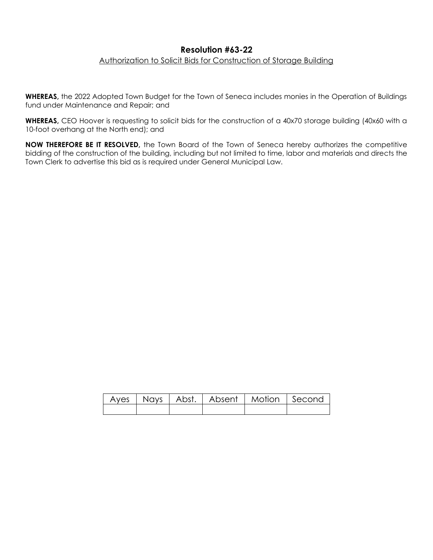## **Resolution #63-22** Authorization to Solicit Bids for Construction of Storage Building

**WHEREAS,** the 2022 Adopted Town Budget for the Town of Seneca includes monies in the Operation of Buildings fund under Maintenance and Repair; and

**WHEREAS,** CEO Hoover is requesting to solicit bids for the construction of a 40x70 storage building (40x60 with a 10-foot overhang at the North end); and

**NOW THEREFORE BE IT RESOLVED,** the Town Board of the Town of Seneca hereby authorizes the competitive bidding of the construction of the building, including but not limited to time, labor and materials and directs the Town Clerk to advertise this bid as is required under General Municipal Law.

|  | Ayes   Nays   Abst.   Absent   Motion   Second |  |
|--|------------------------------------------------|--|
|  |                                                |  |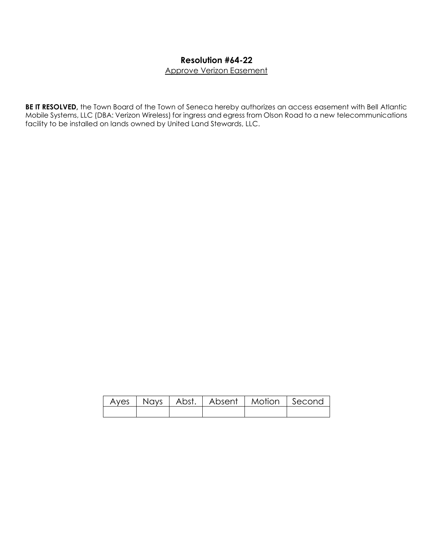# **Resolution #64-22**

Approve Verizon Easement

**BE IT RESOLVED,** the Town Board of the Town of Seneca hereby authorizes an access easement with Bell Atlantic Mobile Systems, LLC (DBA: Verizon Wireless) for ingress and egress from Olson Road to a new telecommunications facility to be installed on lands owned by United Land Stewards, LLC.

|  | Ayes   Nays   Abst.   Absent   Motion   Second |  |
|--|------------------------------------------------|--|
|  |                                                |  |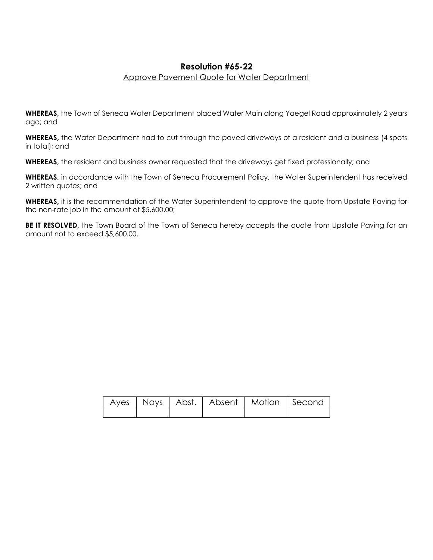## **Resolution #65-22**

### Approve Pavement Quote for Water Department

**WHEREAS,** the Town of Seneca Water Department placed Water Main along Yaegel Road approximately 2 years ago; and

**WHEREAS,** the Water Department had to cut through the paved driveways of a resident and a business (4 spots in total); and

**WHEREAS,** the resident and business owner requested that the driveways get fixed professionally; and

**WHEREAS,** in accordance with the Town of Seneca Procurement Policy, the Water Superintendent has received 2 written quotes; and

**WHEREAS,** it is the recommendation of the Water Superintendent to approve the quote from Upstate Paving for the non-rate job in the amount of \$5,600.00;

**BE IT RESOLVED**, the Town Board of the Town of Seneca hereby accepts the quote from Upstate Paving for an amount not to exceed \$5,600.00.

|  | Ayes   Nays   Abst.   Absent   Motion   Second |  |
|--|------------------------------------------------|--|
|  |                                                |  |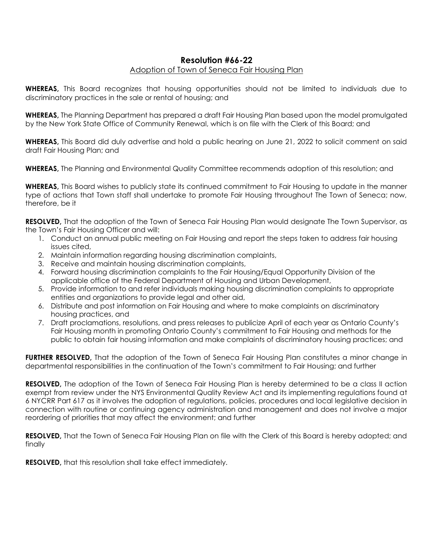# **Resolution #66-22**

### Adoption of Town of Seneca Fair Housing Plan

**WHEREAS,** This Board recognizes that housing opportunities should not be limited to individuals due to discriminatory practices in the sale or rental of housing; and

**WHEREAS,** The Planning Department has prepared a draft Fair Housing Plan based upon the model promulgated by the New York State Office of Community Renewal, which is on file with the Clerk of this Board; and

**WHEREAS,** This Board did duly advertise and hold a public hearing on June 21, 2022 to solicit comment on said draft Fair Housing Plan; and

**WHEREAS,** The Planning and Environmental Quality Committee recommends adoption of this resolution; and

**WHEREAS,** This Board wishes to publicly state its continued commitment to Fair Housing to update in the manner type of actions that Town staff shall undertake to promote Fair Housing throughout The Town of Seneca; now, therefore, be it

**RESOLVED,** That the adoption of the Town of Seneca Fair Housing Plan would designate The Town Supervisor, as the Town's Fair Housing Officer and will:

- 1. Conduct an annual public meeting on Fair Housing and report the steps taken to address fair housing issues cited,
- 2. Maintain information regarding housing discrimination complaints,
- 3. Receive and maintain housing discrimination complaints,
- 4. Forward housing discrimination complaints to the Fair Housing/Equal Opportunity Division of the applicable office of the Federal Department of Housing and Urban Development,
- 5. Provide information to and refer individuals making housing discrimination complaints to appropriate entities and organizations to provide legal and other aid,
- 6. Distribute and post information on Fair Housing and where to make complaints on discriminatory housing practices, and
- 7. Draft proclamations, resolutions, and press releases to publicize April of each year as Ontario County's Fair Housing month in promoting Ontario County's commitment to Fair Housing and methods for the public to obtain fair housing information and make complaints of discriminatory housing practices; and

**FURTHER RESOLVED,** That the adoption of the Town of Seneca Fair Housing Plan constitutes a minor change in departmental responsibilities in the continuation of the Town's commitment to Fair Housing; and further

**RESOLVED,** The adoption of the Town of Seneca Fair Housing Plan is hereby determined to be a class II action exempt from review under the NYS Environmental Quality Review Act and its implementing regulations found at 6 NYCRR Part 617 as it involves the adoption of regulations, policies, procedures and local legislative decision in connection with routine or continuing agency administration and management and does not involve a major reordering of priorities that may affect the environment; and further

**RESOLVED,** That the Town of Seneca Fair Housing Plan on file with the Clerk of this Board is hereby adopted; and finally

**RESOLVED,** that this resolution shall take effect immediately.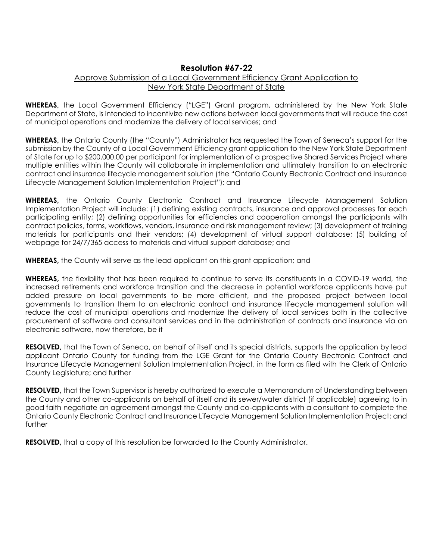## **Resolution #67-22**

### Approve Submission of a Local Government Efficiency Grant Application to New York State Department of State

**WHEREAS,** the Local Government Efficiency ("LGE") Grant program, administered by the New York State Department of State, is intended to incentivize new actions between local governments that will reduce the cost of municipal operations and modernize the delivery of local services; and

**WHEREAS,** the Ontario County (the "County") Administrator has requested the Town of Seneca's support for the submission by the County of a Local Government Efficiency grant application to the New York State Department of State for up to \$200,000.00 per participant for implementation of a prospective Shared Services Project where multiple entities within the County will collaborate in implementation and ultimately transition to an electronic contract and insurance lifecycle management solution (the "Ontario County Electronic Contract and Insurance Lifecycle Management Solution Implementation Project"); and

**WHEREAS,** the Ontario County Electronic Contract and Insurance Lifecycle Management Solution Implementation Project will include: (1) defining existing contracts, insurance and approval processes for each participating entity; (2) defining opportunities for efficiencies and cooperation amongst the participants with contract policies, forms, workflows, vendors, insurance and risk management review; (3) development of training materials for participants and their vendors; (4) development of virtual support database; (5) building of webpage for 24/7/365 access to materials and virtual support database; and

**WHEREAS,** the County will serve as the lead applicant on this grant application; and

**WHEREAS,** the flexibility that has been required to continue to serve its constituents in a COVID-19 world, the increased retirements and workforce transition and the decrease in potential workforce applicants have put added pressure on local governments to be more efficient, and the proposed project between local governments to transition them to an electronic contract and insurance lifecycle management solution will reduce the cost of municipal operations and modernize the delivery of local services both in the collective procurement of software and consultant services and in the administration of contracts and insurance via an electronic software, now therefore, be it

**RESOLVED,** that the Town of Seneca, on behalf of itself and its special districts, supports the application by lead applicant Ontario County for funding from the LGE Grant for the Ontario County Electronic Contract and Insurance Lifecycle Management Solution Implementation Project, in the form as filed with the Clerk of Ontario County Legislature; and further

**RESOLVED,** that the Town Supervisor is hereby authorized to execute a Memorandum of Understanding between the County and other co-applicants on behalf of itself and its sewer/water district (if applicable) agreeing to in good faith negotiate an agreement amongst the County and co-applicants with a consultant to complete the Ontario County Electronic Contract and Insurance Lifecycle Management Solution Implementation Project; and further

**RESOLVED,** that a copy of this resolution be forwarded to the County Administrator.